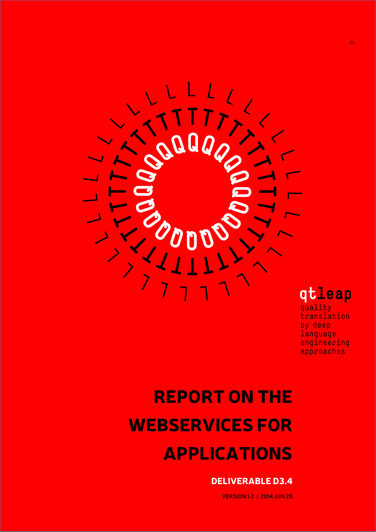

# REPORT ON THE WEBSERVICES FOR APPLICATIONS

## DELIVERABLE D3.4

**VERSION 1.2 | 2014 JUN 28**

approaches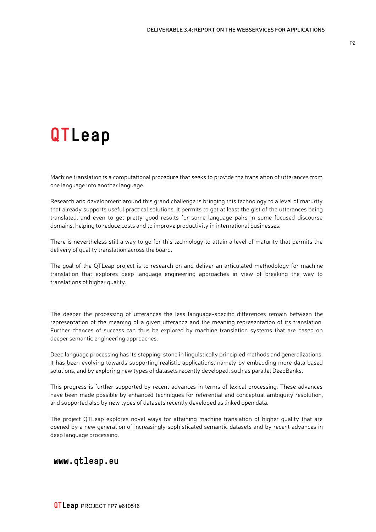## **QTLeap**

Machine translation is a computational procedure that seeks to provide the translation of utterances from one language into another language.

Research and development around this grand challenge is bringing this technology to a level of maturity that already supports useful practical solutions. It permits to get at least the gist of the utterances being translated, and even to get pretty good results for some language pairs in some focused discourse domains, helping to reduce costs and to improve productivity in international businesses.

There is nevertheless still a way to go for this technology to attain a level of maturity that permits the delivery of quality translation across the board.

The goal of the QTLeap project is to research on and deliver an articulated methodology for machine translation that explores deep language engineering approaches in view of breaking the way to translations of higher quality.

The deeper the processing of utterances the less language-specific differences remain between the representation of the meaning of a given utterance and the meaning representation of its translation. Further chances of success can thus be explored by machine translation systems that are based on deeper semantic engineering approaches.

Deep language processing has its stepping-stone in linguistically principled methods and generalizations. It has been evolving towards supporting realistic applications, namely by embedding more data based solutions, and by exploring new types of datasets recently developed, such as parallel DeepBanks.

This progress is further supported by recent advances in terms of lexical processing. These advances have been made possible by enhanced techniques for referential and conceptual ambiguity resolution, and supported also by new types of datasets recently developed as linked open data.

The project QTLeap explores novel ways for attaining machine translation of higher quality that are opened by a new generation of increasingly sophisticated semantic datasets and by recent advances in deep language processing.

#### **www.qtleap.eu**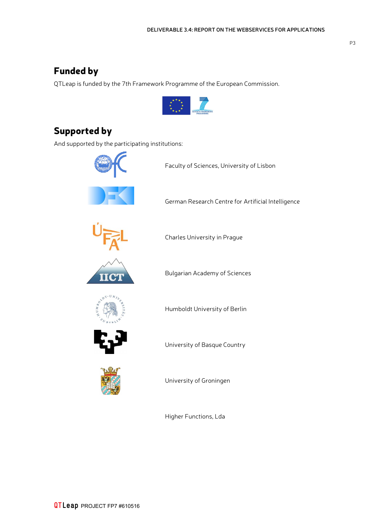## Funded by

QTLeap is funded by the 7th Framework Programme of the European Commission.



## Supported by

And supported by the participating institutions:

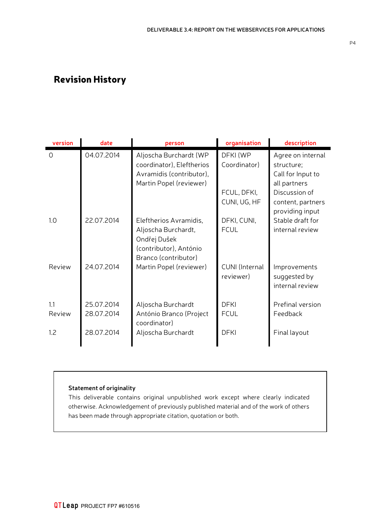## Revision History

| version        | date                     | person                                                                                                          | organisation                | description                                                          |
|----------------|--------------------------|-----------------------------------------------------------------------------------------------------------------|-----------------------------|----------------------------------------------------------------------|
| $\overline{O}$ | 04.07.2014               | Aljoscha Burchardt (WP<br>coordinator), Eleftherios<br>Avramidis (contributor),<br>Martin Popel (reviewer)      | DFKI (WP<br>Coordinator)    | Agree on internal<br>structure;<br>Call for Input to<br>all partners |
|                |                          |                                                                                                                 | FCUL, DFKI,<br>CUNI, UG, HF | Discussion of<br>content, partners<br>providing input                |
| 1.0            | 22.07.2014               | Eleftherios Avramidis,<br>Aljoscha Burchardt,<br>Ondřej Dušek<br>(contributor), António<br>Branco (contributor) | DFKI, CUNI,<br><b>FCUL</b>  | Stable draft for<br>internal review                                  |
| Review         | 24.07.2014               | Martin Popel (reviewer)                                                                                         | CUNI (Internal<br>reviewer) | Improvements<br>suggested by<br>internal review                      |
| 1.1<br>Review  | 25.07.2014<br>28.07.2014 | Aljoscha Burchardt<br>António Branco (Project<br>coordinator)                                                   | <b>DFKI</b><br><b>FCUL</b>  | Prefinal version<br>Feedback                                         |
| 1.2            | 28.07.2014               | Aljoscha Burchardt                                                                                              | <b>DFKI</b>                 | Final layout                                                         |

#### **Statement of originality**

This deliverable contains original unpublished work except where clearly indicated otherwise. Acknowledgement of previously published material and of the work of others has been made through appropriate citation, quotation or both.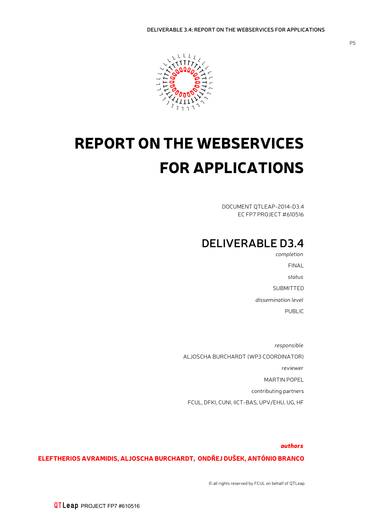

## REPORT ON THE WEBSERVICES FOR APPLICATIONS

DOCUMENT QTLEAP-2014-D3.4 EC FP7 PROJECT #610516

## **DELIVERABLE D3.4**

*completion* FINAL *status* SUBMITTED *dissemination level* PUBLIC

*responsible* ALJOSCHA BURCHARDT (WP3 COORDINATOR) *reviewer* MARTIN POPEL contributing partners FCUL, DFKI, CUNI, IICT-BAS, UPV/EHU, UG, HF

#### *authors*

#### ELEFTHERIOS AVRAMIDIS, ALJOSCHA BURCHARDT, ONDŘEJ DUŠEK, ANTÓNIO BRANCO

© all rights reserved by FCUL on behalf of QTLeap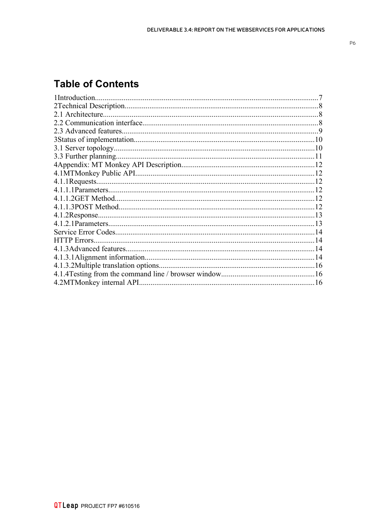## **Table of Contents**

| 1Introduction.     |    |
|--------------------|----|
|                    |    |
| 2.1 Architecture.  |    |
|                    |    |
|                    |    |
|                    |    |
|                    |    |
|                    |    |
|                    |    |
|                    | 12 |
|                    |    |
|                    |    |
|                    |    |
|                    | 12 |
|                    |    |
|                    |    |
|                    |    |
| <b>HTTP</b> Errors |    |
|                    |    |
|                    |    |
|                    |    |
|                    |    |
|                    |    |
|                    |    |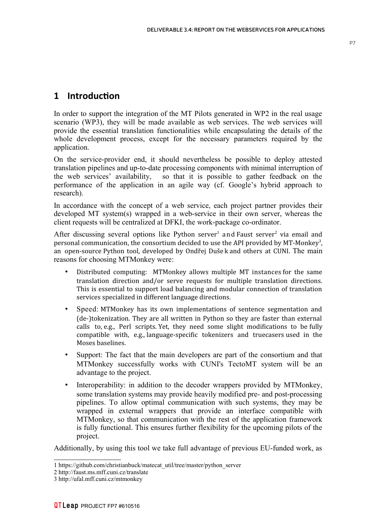<span id="page-6-0"></span>In order to support the integration of the MT Pilots generated in WP2 in the real usage scenario (WP3), they will be made available as web services. The web services will provide the essential translation functionalities while encapsulating the details of the whole development process, except for the necessary parameters required by the application.

On the service-provider end, it should nevertheless be possible to deploy attested translation pipelines and up-to-date processing components with minimal interruption of the web services' availability, so that it is possible to gather feedback on the performance of the application in an agile way (cf. Google's hybrid approach to research).

In accordance with the concept of a web service, each project partner provides their developed MT system(s) wrapped in a web-service in their own server, whereas the client requests will be centralized at DFKI, the work-package co-ordinator.

After discussing several options like Python server<sup>[1](#page-6-1)</sup> and Faust server<sup>[2](#page-6-2)</sup> via email and personal communication, the consortium decided to use the API provided by MT-Monkey<sup>[3](#page-6-3)</sup>, an open-source Python tool, developed by Ondřej Duše k and others at CUNI. The main reasons for choosing MTMonkey were:

- Distributed computing: MTMonkey allows multiple MT instances for the same translation direction and/or serve requests for multiple translation directions. This is essential to support load balancing and modular connection of translation services specialized in different language directions.
- Speed: MTMonkey has its own implementations of sentence segmentation and (de-)tokenization. They are all written in Python so they are faster than external calls to, e.g., Perl scripts. Yet, they need some slight modifications to be fully compatible with, e.g., language-specific tokenizers and truecasers used in the Moses baselines.
- Support: The fact that the main developers are part of the consortium and that MTMonkey successfully works with CUNI's TectoMT system will be an advantage to the project.
- Interoperability: in addition to the decoder wrappers provided by MTMonkey, some translation systems may provide heavily modified pre- and post-processing pipelines. To allow optimal communication with such systems, they may be wrapped in external wrappers that provide an interface compatible with MTMonkey, so that communication with the rest of the application framework is fully functional. This ensures further flexibility for the upcoming pilots of the project.

Additionally, by using this tool we take full advantage of previous EU-funded work, as

<span id="page-6-1"></span><sup>1</sup> https://github.com/christianbuck/matecat\_util/tree/master/python\_server

<span id="page-6-2"></span><sup>2</sup> http://faust.ms.mff.cuni.cz/translate

<span id="page-6-3"></span><sup>3</sup> http://ufal.mff.cuni.cz/mtmonkey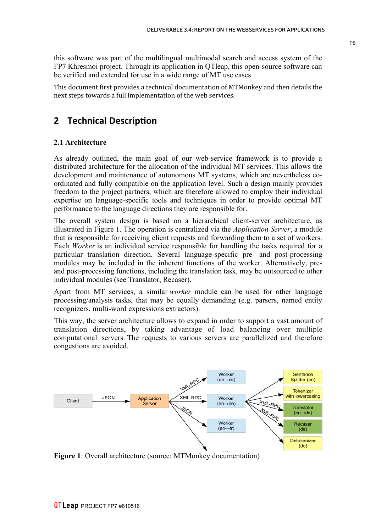this software was part of the multilingual multimodal search and access system of the FP7 Khresmoi project. Through its application in QTleap, this open-source software can be verified and extended for use in a wide range of MT use cases.

This document first provides a technical documentation of MTMonkey and then details the next steps towards a full implementation of the web services.

### <span id="page-7-1"></span>**2 Technical Descripton**

#### <span id="page-7-0"></span>**2.1 Architecture**

As already outlined, the main goal of our web-service framework is to provide a distributed architecture for the allocation of the individual MT services. This allows the development and maintenance of autonomous MT systems, which are nevertheless coordinated and fully compatible on the application level. Such a design mainly provides freedom to the project partners, which are therefore allowed to employ their individual expertise on language-specific tools and techniques in order to provide optimal MT performance to the language directions they are responsible for.

The overall system design is based on a hierarchical client-server architecture, as illustrated in Figure 1. The operation is centralized via the *Application Server*, a module that is responsible for receiving client requests and forwarding them to a set of workers. Each *Worker* is an individual service responsible for handling the tasks required for a particular translation direction. Several language-specific pre- and post-processing modules may be included in the inherent functions of the worker. Alternatively, preand post-processing functions, including the translation task, may be outsourced to other individual modules (see Translator, Recaser).

Apart from MT services, a similar *worker* module can be used for other language processing/analysis tasks, that may be equally demanding (e.g. parsers, named entity recognizers, multi-word expressions extractors).

This way, the server architecture allows to expand in order to support a vast amount of translation directions, by taking advantage of load balancing over multiple computational servers. The requests to various servers are parallelized and therefore congestions are avoided.



**Figure 1**: Overall architecture (source: MTMonkey documentation)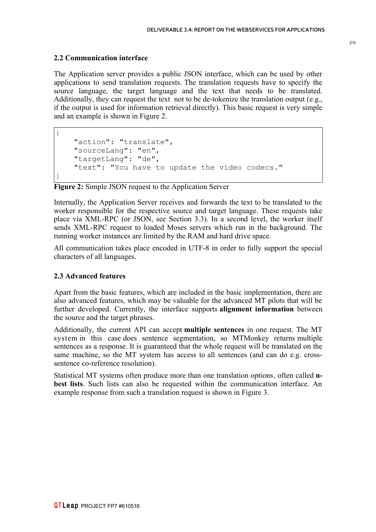#### <span id="page-8-1"></span>**2.2 Communication interface**

{

}

The Application server provides a public JSON interface, which can be used by other applications to send translation requests. The translation requests have to specify the source language, the target language and the text that needs to be translated. Additionally, they can request the text not to be de-tokenize the translation output (e.g., if the output is used for information retrieval directly). This basic request is very simple and an example is shown in Figure 2.

```
 "action": "translate",
 "sourceLang": "en",
 "targetLang": "de",
 "text": "You have to update the video codecs."
```
#### **Figure 2:** Simple JSON request to the Application Server

Internally, the Application Server receives and forwards the text to be translated to the worker responsible for the respective source and target language. These requests take place via XML-RPC (or JSON, see Section 3.3). In a second level, the worker itself sends XML-RPC request to loaded Moses servers which run in the background. The running worker instances are limited by the RAM and hard drive space.

All communication takes place encoded in UTF-8 in order to fully support the special characters of all languages.

#### <span id="page-8-0"></span>**2.3 Advanced features**

Apart from the basic features, which are included in the basic implementation, there are also advanced features, which may be valuable for the advanced MT pilots that will be further developed. Currently, the interface supports **alignment information** between the source and the target phrases.

Additionally, the current API can accept **multiple sentences** in one request. The MT system in this case does sentence segmentation, so MTMonkey returns multiple sentences as a response. It is guaranteed that the whole request will be translated on the same machine, so the MT system has access to all sentences (and can do e.g. crosssentence co-reference resolution).

Statistical MT systems often produce more than one translation options, often called **nbest lists**. Such lists can also be requested within the communication interface. An example response from such a translation request is shown in Figure 3.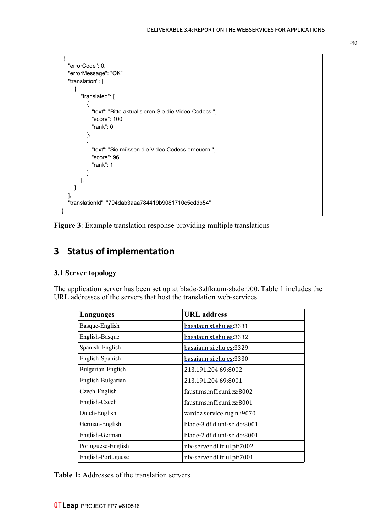```
 {
     "errorCode": 0, 
     "errorMessage": "OK"
     "translation": [
       {
          "translated": [
\{ "text": "Bitte aktualisieren Sie die Video-Codecs.",
              "score": 100,
              "rank": 0
            },
\{ "text": "Sie müssen die Video Codecs erneuern.",
              "score": 96,
              "rank": 1
 }
         ], 
       }
     ], 
     "translationId": "794dab3aaa784419b9081710c5cddb54"
  }
```
**Figure 3**: Example translation response providing multiple translations

## <span id="page-9-1"></span>**3 Status of implementaton**

#### <span id="page-9-0"></span>**3.1 Server topology**

The application server has been set up at blade-3.dfki.uni-sb.de:900. Table 1 includes the URL addresses of the servers that host the translation web-services.

| Languages          | <b>URL</b> address          |
|--------------------|-----------------------------|
| Basque-English     | basajaun.si.ehu.es:3331     |
| English-Basque     | basajaun.si.ehu.es:3332     |
| Spanish-English    | basajaun.si.ehu.es:3329     |
| English-Spanish    | basajaun.si.ehu.es:3330     |
| Bulgarian-English  | 213.191.204.69:8002         |
| English-Bulgarian  | 213.191.204.69:8001         |
| Czech-English      | faust.ms.mff.cuni.cz:8002   |
| English-Czech      | faust.ms.mff.cuni.cz:8001   |
| Dutch-English      | zardoz.service.rug.nl:9070  |
| German-English     | blade-3.dfki.uni-sb.de:8001 |
| English-German     | blade-2.dfki.uni-sb.de:8001 |
| Portuguese-English | nlx-server.di.fc.ul.pt:7002 |
| English-Portuguese | nlx-server.di.fc.ul.pt:7001 |

**Table 1:** Addresses of the translation servers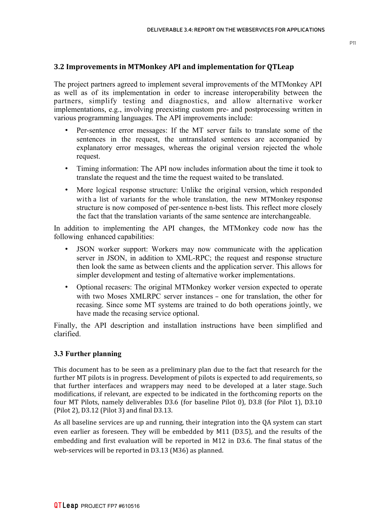#### **3.2 Improvements in MTMonkey API and implementation for QTLeap**

The project partners agreed to implement several improvements of the MTMonkey API as well as of its implementation in order to increase interoperability between the partners, simplify testing and diagnostics, and allow alternative worker implementations, e.g., involving preexisting custom pre- and postprocessing written in various programming languages. The API improvements include:

- Per-sentence error messages: If the MT server fails to translate some of the sentences in the request, the untranslated sentences are accompanied by explanatory error messages, whereas the original version rejected the whole request.
- Timing information: The API now includes information about the time it took to translate the request and the time the request waited to be translated.
- More logical response structure: Unlike the original version, which responded with a list of variants for the whole translation, the new MTMonkey response structure is now composed of per-sentence n-best lists. This reflect more closely the fact that the translation variants of the same sentence are interchangeable.

In addition to implementing the API changes, the MTMonkey code now has the following enhanced capabilities:

- JSON worker support: Workers may now communicate with the application server in JSON, in addition to XML-RPC; the request and response structure then look the same as between clients and the application server. This allows for simpler development and testing of alternative worker implementations.
- Optional recasers: The original MTMonkey worker version expected to operate with two Moses XMLRPC server instances – one for translation, the other for recasing. Since some MT systems are trained to do both operations jointly, we have made the recasing service optional.

Finally, the API description and installation instructions have been simplified and clarified.

#### <span id="page-10-0"></span>**3.3 Further planning**

This document has to be seen as a preliminary plan due to the fact that research for the further MT pilots is in progress. Development of pilots is expected to add requirements, so that further interfaces and wrappers may need to be developed at a later stage. Such modifications, if relevant, are expected to be indicated in the forthcoming reports on the four MT Pilots, namely deliverables D3.6 (for baseline Pilot 0), D3.8 (for Pilot 1), D3.10 (Pilot 2), D3.12 (Pilot 3) and final D3.13.

As all baseline services are up and running, their integration into the QA system can start even earlier as foreseen. They will be embedded by M11 (D3.5), and the results of the embedding and first evaluation will be reported in M12 in D3.6. The final status of the web-services will be reported in D3.13 (M36) as planned.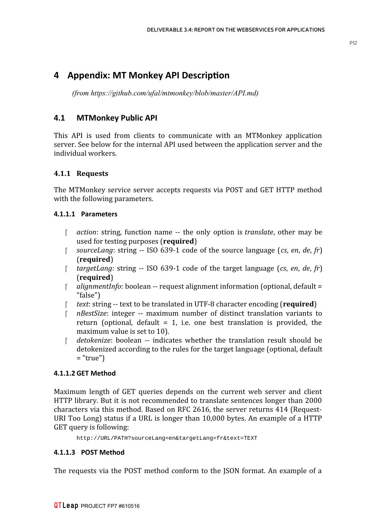### <span id="page-11-5"></span>**4 Appendix: MT Monkey API Descripton**

*(from https://github.com/ufal/mtmonkey/blob/master/API.md)*

#### <span id="page-11-4"></span>**4.1 MTMonkey Public API**

This API is used from clients to communicate with an MTMonkey application server. See below for the internal API used between the application server and the individual workers.

#### <span id="page-11-3"></span>**4.1.1 Requests**

The MTMonkey service server accepts requests via POST and GET HTTP method with the following parameters.

#### **4.1.1.1 Parameters**

- <span id="page-11-2"></span> *action*: string, function name -- the only option is *translate*, other may be used for testing purposes (**required**)
- *sourceLang*: string -- ISO 639-1 code of the source language (*cs*, *en*, *de*, *fr*) (**required**)
- *targetLang*: string -- ISO 639-1 code of the target language (*cs*, *en*, *de*, *fr*) (**required**)
- *alignmentInfo*: boolean -- request alignment information (optional, default = "false")
- *text*: string -- text to be translated in UTF-8 character encoding (**required**)
- *nBestSize*: integer -- maximum number of distinct translation variants to return (optional, default  $= 1$ , i.e. one best translation is provided, the maximum value is set to 10).
- *detokenize*: boolean -- indicates whether the translation result should be detokenized according to the rules for the target language (optional, default  $=$  "true")

#### <span id="page-11-1"></span>**4.1.1.2 GET Method**

Maximum length of GET queries depends on the current web server and client HTTP library. But it is not recommended to translate sentences longer than 2000 characters via this method. Based on RFC 2616, the server returns 414 (Request-URI Too Long) status if a URL is longer than 10,000 bytes. An example of a HTTP GET query is following:

<span id="page-11-0"></span>http://URL/PATH?sourceLang=en&targetLang=fr&text=TEXT

#### **4.1.1.3 POST Method**

The requests via the POST method conform to the JSON format. An example of a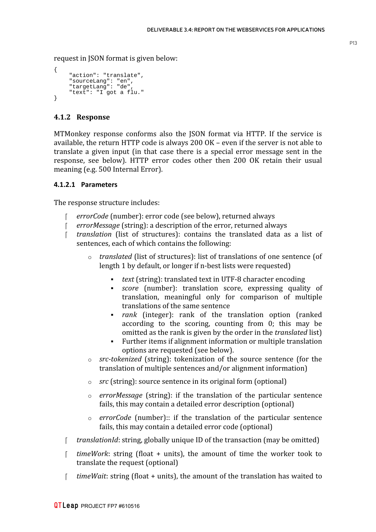request in JSON format is given below:

```
{
     "action": "translate",
 "sourceLang": "en",
 "targetLang": "de",
     "text": "I got a flu."
}
```
#### <span id="page-12-1"></span>**4.1.2 Response**

MTMonkey response conforms also the JSON format via HTTP. If the service is available, the return HTTP code is always 200 OK – even if the server is not able to translate a given input (in that case there is a special error message sent in the response, see below). HTTP error codes other then 200 OK retain their usual meaning (e.g. 500 Internal Error).

#### <span id="page-12-0"></span>**4.1.2.1 Parameters**

The response structure includes:

- *errorCode* (number): error code (see below), returned always
- *errorMessage* (string): a description of the error, returned always
- *translation* (list of structures): contains the translated data as a list of sentences, each of which contains the following:
	- o *translated* (list of structures): list of translations of one sentence (of length 1 by default, or longer if n-best lists were requested)
		- *text* (string): translated text in UTF-8 character encoding
		- *score* (number): translation score, expressing quality of translation, meaningful only for comparison of multiple translations of the same sentence
		- *rank* (integer): rank of the translation option (ranked according to the scoring, counting from 0; this may be omitted as the rank is given by the order in the *translated* list)
		- Further items if alignment information or multiple translation options are requested (see below).
	- o *src-tokenized* (string): tokenization of the source sentence (for the translation of multiple sentences and/or alignment information)
	- o *src* (string): source sentence in its original form (optional)
	- o *errorMessage* (string): if the translation of the particular sentence fails, this may contain a detailed error description (optional)
	- o *errorCode* (number):: if the translation of the particular sentence fails, this may contain a detailed error code (optional)
- *translationId*: string, globally unique ID of the transaction (may be omitted)
- *timeWork*: string (float + units), the amount of time the worker took to translate the request (optional)
- *timeWait*: string (float + units), the amount of the translation has waited to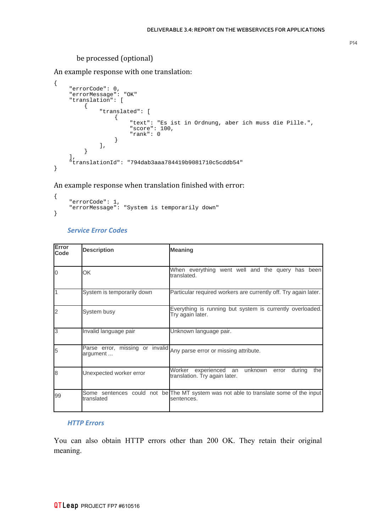#### be processed (optional)

An example response with one translation:

```
{
 "errorCode": 0, 
 "errorMessage": "OK"
    "translation": [
        {
            "translated": [
{
 "text": "Es ist in Ordnung, aber ich muss die Pille.", 
                   "score": 100,
                   "rank": 0
 }
            ], 
        }
    ], 
    "translationId": "794dab3aaa784419b9081710c5cddb54"
}
```
#### An example response when translation finished with error:

```
{
      "errorCode": 1,
     "errorMessage": "System is temporarily down"
}
```
#### <span id="page-13-1"></span>*Service Error Codes*

| Error<br>Code  | <b>Description</b>                          | <b>Meaning</b>                                                                                      |
|----------------|---------------------------------------------|-----------------------------------------------------------------------------------------------------|
| 10             | OK                                          | When everything went well and the query has been<br>translated.                                     |
| $\overline{1}$ | System is temporarily down                  | Particular required workers are currently off. Try again later.                                     |
| 2              | System busy                                 | Everything is running but system is currently overloaded.<br>Try again later.                       |
| 3              | Invalid language pair                       | Unknown language pair.                                                                              |
| 5              | Parse error, missing or invalid<br>argument | Any parse error or missing attribute.                                                               |
| 8              | Unexpected worker error                     | unknown<br>during<br>thel<br>Worker<br>experienced an<br>error<br>translation. Try again later.     |
| 99             | translated                                  | Some sentences could not be The MT system was not able to translate some of the input<br>sentences. |

#### <span id="page-13-0"></span>*HTTP Errors*

You can also obtain HTTP errors other than 200 OK. They retain their original meaning.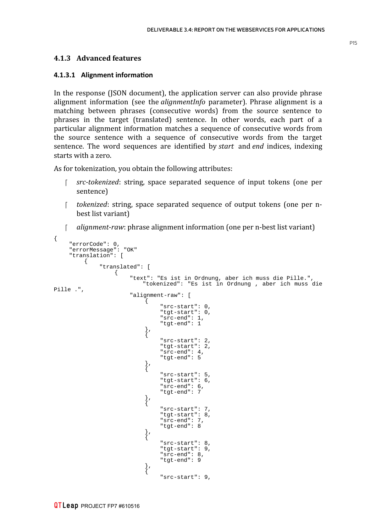#### <span id="page-14-1"></span>**4.1.3 Advanced features**

#### <span id="page-14-0"></span>**4.1.3.1 Alignment informaton**

In the response (JSON document), the application server can also provide phrase alignment information (see the *alignmentInfo* parameter). Phrase alignment is a matching between phrases (consecutive words) from the source sentence to phrases in the target (translated) sentence. In other words, each part of a particular alignment information matches a sequence of consecutive words from the source sentence with a sequence of consecutive words from the target sentence. The word sequences are identified by *start* and *end* indices, indexing starts with a zero.

As for tokenization, you obtain the following attributes:

- *src-tokenized*: string, space separated sequence of input tokens (one per sentence)
- *tokenized*: string, space separated sequence of output tokens (one per nbest list variant)
- *alignment-raw*: phrase alignment information (one per n-best list variant)

```
{
     "errorCode": 0, 
     "errorMessage": "OK" 
     "translation": [
        \mathcal{L} "translated": [
{
                      "text": "Es ist in Ordnung, aber ich muss die Pille.", 
                          "tokenized": "Es ist in Ordnung , aber ich muss die
Pille .", 
                      "alignment-raw": [
\left\{ \begin{array}{c} \end{array} \right\} "src-start": 0, 
                             "tgt-start": 0, 
                             "src-end": 1, 
                             "tgt-end": 1
\}, \{\left\{ \right. "src-start": 2, 
                             "tgt-start": 2, 
                             "src-end": 4, 
                             "tgt-end": 5
\}, \{\left\{ \right. "src-start": 5, 
                             "tgt-start": 6, 
                             "src-end": 6, 
                             "tgt-end": 7
\}, \{\},
                              "src-start": 7, 
                             "tgt-start": 8, 
                             "src-end": 7, 
                             "tgt-end": 8
\}, \{\},
                              "src-start": 8, 
                             "tgt-start": 9, 
                             "src-end": 8, 
                             "tgt-end": 9
\}, \{\},
                              "src-start": 9,
```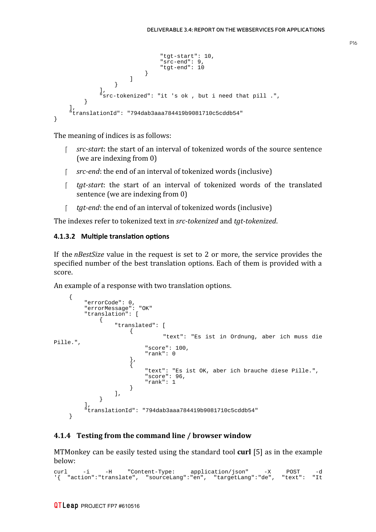```
 "tgt-start": 10, 
                                       "src-end": 9, 
                                       "tgt-end": 10
 }
design and the control of the control of the control of the control of the control of the control of the control of
 }
\mathbf{1},
                  "src-tokenized": "it 's ok , but i need that pill .", 
            }
      ], 
      "translationId": "794dab3aaa784419b9081710c5cddb54"
}
```
The meaning of indices is as follows:

- *src-start*: the start of an interval of tokenized words of the source sentence (we are indexing from 0)
- *src-end*: the end of an interval of tokenized words (inclusive)
- *tgt-start*: the start of an interval of tokenized words of the translated sentence (we are indexing from 0)
- *tgt-end*: the end of an interval of tokenized words (inclusive)

The indexes refer to tokenized text in *src-tokenized* and *tgt-tokenized*.

#### <span id="page-15-1"></span>**4.1.3.2 Multple translaton optons**

If the *nBestSize* value in the request is set to 2 or more, the service provides the specified number of the best translation options. Each of them is provided with a score.

An example of a response with two translation options.

```
 {
 "errorCode": 0, 
 "errorMessage": "OK"
        "translation": [
\{ "translated": [
 {
                   "text": "Es ist in Ordnung, aber ich muss die
Pille.",
                       "score": 100,
                      "rank": 0
 },
                  \} ,
                       "text": "Es ist OK, aber ich brauche diese Pille.",
                      "score": 96,
                      "rank": 1
 }
\mathbf{1}, \mathbf{1}, \mathbf{1} }
        ], 
        "translationId": "794dab3aaa784419b9081710c5cddb54"
    }
```
#### <span id="page-15-0"></span>**4.1.4 Testing from the command line / browser window**

MTMonkey can be easily tested using the standard tool **curl** [5] as in the example below:

```
curl -i -H "Content-Type: application/json" -X POST -d
'{ "action":"translate", "sourceLang":"en", "targetLang":"de", "text": "It
```